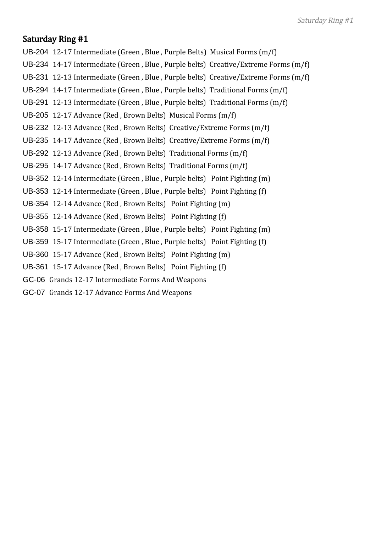UB-204 12-17 Intermediate (Green , Blue , Purple Belts) Musical Forms (m/f)

- UB-234 14-17 Intermediate (Green , Blue , Purple belts) Creative/Extreme Forms (m/f)
- UB-231 12-13 Intermediate (Green , Blue , Purple belts) Creative/Extreme Forms (m/f)
- UB-294 14-17 Intermediate (Green , Blue , Purple belts) Traditional Forms (m/f)
- UB-291 12-13 Intermediate (Green , Blue , Purple belts) Traditional Forms (m/f)
- UB-205 12-17 Advance (Red , Brown Belts) Musical Forms (m/f)
- UB-232 12-13 Advance (Red , Brown Belts) Creative/Extreme Forms (m/f)
- UB-235 14-17 Advance (Red , Brown Belts) Creative/Extreme Forms (m/f)
- UB-292 12-13 Advance (Red , Brown Belts) Traditional Forms (m/f)
- UB-295 14-17 Advance (Red , Brown Belts) Traditional Forms (m/f)
- UB-352 12-14 Intermediate (Green , Blue , Purple belts) Point Fighting (m)
- UB-353 12-14 Intermediate (Green , Blue , Purple belts) Point Fighting (f)
- UB-354 12-14 Advance (Red , Brown Belts) Point Fighting (m)
- UB-355 12-14 Advance (Red , Brown Belts) Point Fighting (f)
- UB-358 15-17 Intermediate (Green , Blue , Purple belts) Point Fighting (m)
- UB-359 15-17 Intermediate (Green , Blue , Purple belts) Point Fighting (f)
- UB-360 15-17 Advance (Red , Brown Belts) Point Fighting (m)
- UB-361 15-17 Advance (Red , Brown Belts) Point Fighting (f)
- GC-06 Grands 12-17 Intermediate Forms And Weapons
- GC-07 Grands 12-17 Advance Forms And Weapons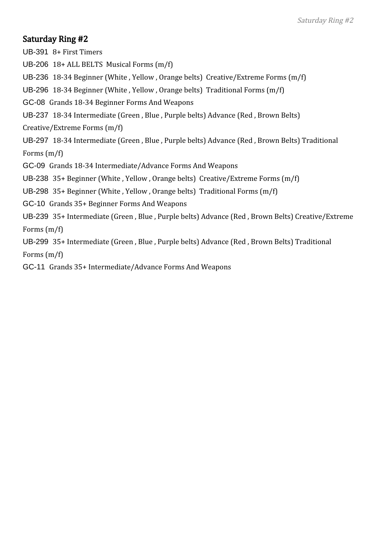UB-391 8+ First Timers UB-206 18+ ALL BELTS Musical Forms (m/f) UB-236 18-34 Beginner (White , Yellow , Orange belts) Creative/Extreme Forms (m/f) UB-296 18-34 Beginner (White , Yellow , Orange belts) Traditional Forms (m/f) GC-08 Grands 18-34 Beginner Forms And Weapons UB-237 18-34 Intermediate (Green , Blue , Purple belts) Advance (Red , Brown Belts) Creative/Extreme Forms (m/f) UB-297 18-34 Intermediate (Green , Blue , Purple belts) Advance (Red , Brown Belts) Traditional Forms (m/f) GC-09 Grands 18-34 Intermediate/Advance Forms And Weapons UB-238 35+ Beginner (White , Yellow , Orange belts) Creative/Extreme Forms (m/f) UB-298 35+ Beginner (White , Yellow , Orange belts) Traditional Forms (m/f) GC-10 Grands 35+ Beginner Forms And Weapons UB-239 35+ Intermediate (Green , Blue , Purple belts) Advance (Red , Brown Belts) Creative/Extreme Forms (m/f) UB-299 35+ Intermediate (Green , Blue , Purple belts) Advance (Red , Brown Belts) Traditional

Forms (m/f)

GC-11 Grands 35+ Intermediate/Advance Forms And Weapons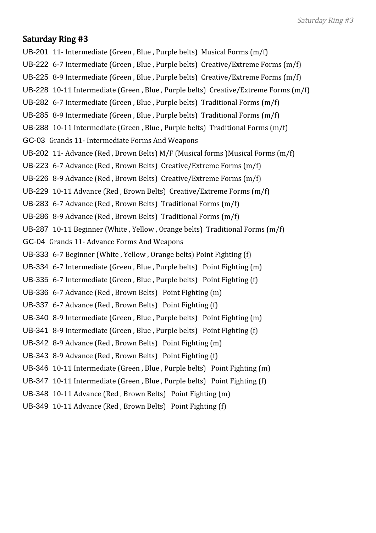- UB-201 11- Intermediate (Green , Blue , Purple belts) Musical Forms (m/f)
- UB-222 6-7 Intermediate (Green , Blue , Purple belts) Creative/Extreme Forms (m/f)
- UB-225 8-9 Intermediate (Green , Blue , Purple belts) Creative/Extreme Forms (m/f)
- UB-228 10-11 Intermediate (Green , Blue , Purple belts) Creative/Extreme Forms (m/f)
- UB-282 6-7 Intermediate (Green , Blue , Purple belts) Traditional Forms (m/f)
- UB-285 8-9 Intermediate (Green , Blue , Purple belts) Traditional Forms (m/f)
- UB-288 10-11 Intermediate (Green , Blue , Purple belts) Traditional Forms (m/f)
- GC-03 Grands 11- Intermediate Forms And Weapons
- UB-202 11- Advance (Red , Brown Belts) M/F (Musical forms )Musical Forms (m/f)
- UB-223 6-7 Advance (Red , Brown Belts) Creative/Extreme Forms (m/f)
- UB-226 8-9 Advance (Red , Brown Belts) Creative/Extreme Forms (m/f)
- UB-229 10-11 Advance (Red , Brown Belts) Creative/Extreme Forms (m/f)
- UB-283 6-7 Advance (Red , Brown Belts) Traditional Forms (m/f)
- UB-286 8-9 Advance (Red , Brown Belts) Traditional Forms (m/f)
- UB-287 10-11 Beginner (White , Yellow , Orange belts) Traditional Forms (m/f)
- GC-04 Grands 11- Advance Forms And Weapons
- UB-333 6-7 Beginner (White , Yellow , Orange belts) Point Fighting (f)
- UB-334 6-7 Intermediate (Green , Blue , Purple belts) Point Fighting (m)
- UB-335 6-7 Intermediate (Green , Blue , Purple belts) Point Fighting (f)
- UB-336 6-7 Advance (Red , Brown Belts) Point Fighting (m)
- UB-337 6-7 Advance (Red , Brown Belts) Point Fighting (f)
- UB-340 8-9 Intermediate (Green , Blue , Purple belts) Point Fighting (m)
- UB-341 8-9 Intermediate (Green , Blue , Purple belts) Point Fighting (f)
- UB-342 8-9 Advance (Red , Brown Belts) Point Fighting (m)
- UB-343 8-9 Advance (Red , Brown Belts) Point Fighting (f)
- UB-346 10-11 Intermediate (Green , Blue , Purple belts) Point Fighting (m)
- UB-347 10-11 Intermediate (Green , Blue , Purple belts) Point Fighting (f)
- UB-348 10-11 Advance (Red , Brown Belts) Point Fighting (m)
- UB-349 10-11 Advance (Red , Brown Belts) Point Fighting (f)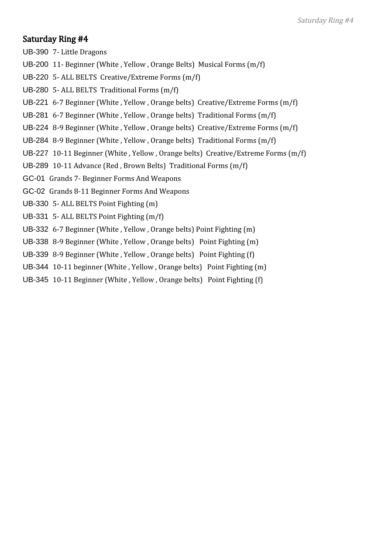- UB-390 7- Little Dragons
- UB-200 11- Beginner (White , Yellow , Orange Belts) Musical Forms (m/f)
- UB-220 5- ALL BELTS Creative/Extreme Forms (m/f)
- UB-280 5- ALL BELTS Traditional Forms (m/f)
- UB-221 6-7 Beginner (White , Yellow , Orange belts) Creative/Extreme Forms (m/f)
- UB-281 6-7 Beginner (White , Yellow , Orange belts) Traditional Forms (m/f)
- UB-224 8-9 Beginner (White , Yellow , Orange belts) Creative/Extreme Forms (m/f)
- UB-284 8-9 Beginner (White , Yellow , Orange belts) Traditional Forms (m/f)
- UB-227 10-11 Beginner (White , Yellow , Orange belts) Creative/Extreme Forms (m/f)
- UB-289 10-11 Advance (Red , Brown Belts) Traditional Forms (m/f)
- GC-01 Grands 7- Beginner Forms And Weapons
- GC-02 Grands 8-11 Beginner Forms And Weapons
- UB-330 5- ALL BELTS Point Fighting (m)
- UB-331 5- ALL BELTS Point Fighting (m/f)
- UB-332 6-7 Beginner (White , Yellow , Orange belts) Point Fighting (m)
- UB-338 8-9 Beginner (White , Yellow , Orange belts) Point Fighting (m)
- UB-339 8-9 Beginner (White , Yellow , Orange belts) Point Fighting (f)
- UB-344 10-11 beginner (White , Yellow , Orange belts) Point Fighting (m)
- UB-345 10-11 Beginner (White , Yellow , Orange belts) Point Fighting (f)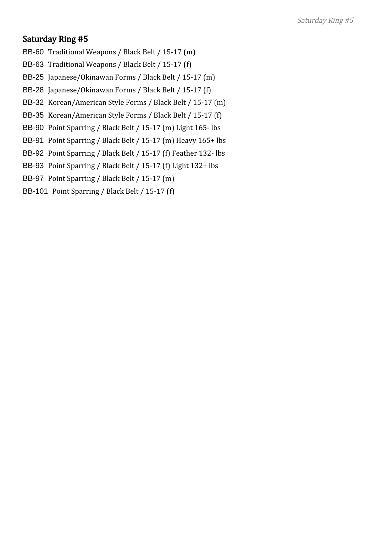- BB-60 Traditional Weapons / Black Belt / 15-17 (m)
- BB-63 Traditional Weapons / Black Belt / 15-17 (f)
- BB-25 Japanese/Okinawan Forms / Black Belt / 15-17 (m)
- BB-28 Japanese/Okinawan Forms / Black Belt / 15-17 (f)
- BB-32 Korean/American Style Forms / Black Belt / 15-17 (m)
- BB-35 Korean/American Style Forms / Black Belt / 15-17 (f)
- BB-90 Point Sparring / Black Belt / 15-17 (m) Light 165- lbs
- BB-91 Point Sparring / Black Belt / 15-17 (m) Heavy 165+ lbs
- BB-92 Point Sparring / Black Belt / 15-17 (f) Feather 132- lbs
- BB-93 Point Sparring / Black Belt / 15-17 (f) Light 132+ lbs
- BB-97 Point Sparring / Black Belt / 15-17 (m)
- BB-101 Point Sparring / Black Belt / 15-17 (f)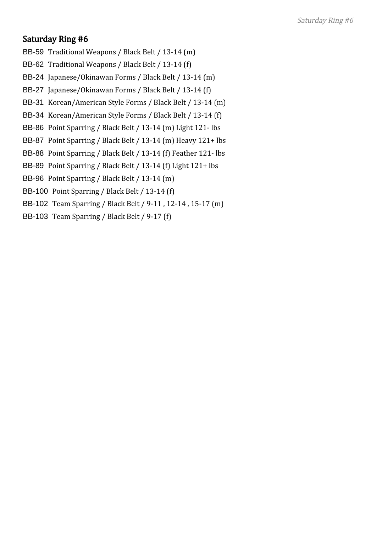- BB-59 Traditional Weapons / Black Belt / 13-14 (m)
- BB-62 Traditional Weapons / Black Belt / 13-14 (f)
- BB-24 Japanese/Okinawan Forms / Black Belt / 13-14 (m)
- BB-27 Japanese/Okinawan Forms / Black Belt / 13-14 (f)
- BB-31 Korean/American Style Forms / Black Belt / 13-14 (m)
- BB-34 Korean/American Style Forms / Black Belt / 13-14 (f)
- BB-86 Point Sparring / Black Belt / 13-14 (m) Light 121- lbs
- BB-87 Point Sparring / Black Belt / 13-14 (m) Heavy 121+ lbs
- BB-88 Point Sparring / Black Belt / 13-14 (f) Feather 121- lbs
- BB-89 Point Sparring / Black Belt / 13-14 (f) Light 121+ lbs
- BB-96 Point Sparring / Black Belt / 13-14 (m)
- BB-100 Point Sparring / Black Belt / 13-14 (f)
- BB-102 Team Sparring / Black Belt / 9-11 , 12-14 , 15-17 (m)
- BB-103 Team Sparring / Black Belt / 9-17 (f)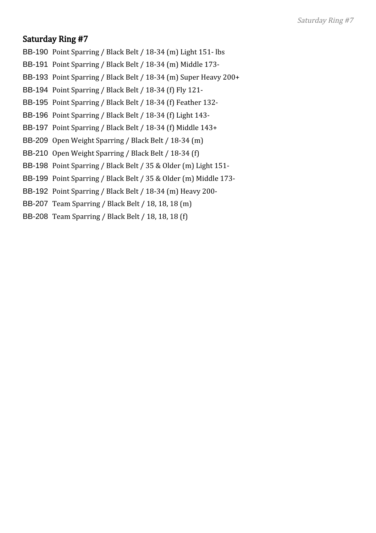- BB-190 Point Sparring / Black Belt / 18-34 (m) Light 151- lbs
- BB-191 Point Sparring / Black Belt / 18-34 (m) Middle 173-
- BB-193 Point Sparring / Black Belt / 18-34 (m) Super Heavy 200+
- BB-194 Point Sparring / Black Belt / 18-34 (f) Fly 121-
- BB-195 Point Sparring / Black Belt / 18-34 (f) Feather 132-
- BB-196 Point Sparring / Black Belt / 18-34 (f) Light 143-
- BB-197 Point Sparring / Black Belt / 18-34 (f) Middle 143+
- BB-209 Open Weight Sparring / Black Belt / 18-34 (m)
- BB-210 Open Weight Sparring / Black Belt / 18-34 (f)
- BB-198 Point Sparring / Black Belt / 35 & Older (m) Light 151-
- BB-199 Point Sparring / Black Belt / 35 & Older (m) Middle 173-
- BB-192 Point Sparring / Black Belt / 18-34 (m) Heavy 200-
- BB-207 Team Sparring / Black Belt / 18, 18, 18 (m)
- BB-208 Team Sparring / Black Belt / 18, 18, 18 (f)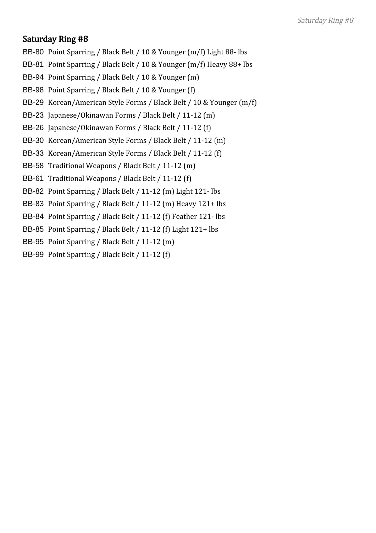- BB-80 Point Sparring / Black Belt / 10 & Younger (m/f) Light 88- lbs
- BB-81 Point Sparring / Black Belt / 10 & Younger (m/f) Heavy 88+ lbs
- BB-94 Point Sparring / Black Belt / 10 & Younger (m)
- BB-98 Point Sparring / Black Belt / 10 & Younger (f)
- BB-29 Korean/American Style Forms / Black Belt / 10 & Younger (m/f)
- BB-23 Japanese/Okinawan Forms / Black Belt / 11-12 (m)
- BB-26 Japanese/Okinawan Forms / Black Belt / 11-12 (f)
- BB-30 Korean/American Style Forms / Black Belt / 11-12 (m)
- BB-33 Korean/American Style Forms / Black Belt / 11-12 (f)
- BB-58 Traditional Weapons / Black Belt / 11-12 (m)
- BB-61 Traditional Weapons / Black Belt / 11-12 (f)
- BB-82 Point Sparring / Black Belt / 11-12 (m) Light 121- lbs
- BB-83 Point Sparring / Black Belt / 11-12 (m) Heavy 121+ lbs
- BB-84 Point Sparring / Black Belt / 11-12 (f) Feather 121- lbs
- BB-85 Point Sparring / Black Belt / 11-12 (f) Light 121+ lbs
- BB-95 Point Sparring / Black Belt / 11-12 (m)
- BB-99 Point Sparring / Black Belt / 11-12 (f)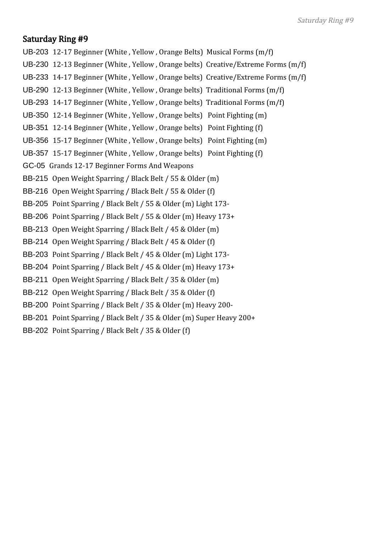- UB-203 12-17 Beginner (White , Yellow , Orange Belts) Musical Forms (m/f)
- UB-230 12-13 Beginner (White , Yellow , Orange belts) Creative/Extreme Forms (m/f)
- UB-233 14-17 Beginner (White , Yellow , Orange belts) Creative/Extreme Forms (m/f)
- UB-290 12-13 Beginner (White , Yellow , Orange belts) Traditional Forms (m/f)
- UB-293 14-17 Beginner (White , Yellow , Orange belts) Traditional Forms (m/f)
- UB-350 12-14 Beginner (White , Yellow , Orange belts) Point Fighting (m)
- UB-351 12-14 Beginner (White , Yellow , Orange belts) Point Fighting (f)
- UB-356 15-17 Beginner (White , Yellow , Orange belts) Point Fighting (m)
- UB-357 15-17 Beginner (White , Yellow , Orange belts) Point Fighting (f)
- GC-05 Grands 12-17 Beginner Forms And Weapons
- BB-215 Open Weight Sparring / Black Belt / 55 & Older (m)
- BB-216 Open Weight Sparring / Black Belt / 55 & Older (f)
- BB-205 Point Sparring / Black Belt / 55 & Older (m) Light 173-
- BB-206 Point Sparring / Black Belt / 55 & Older (m) Heavy 173+
- BB-213 Open Weight Sparring / Black Belt / 45 & Older (m)
- BB-214 Open Weight Sparring / Black Belt / 45 & Older (f)
- BB-203 Point Sparring / Black Belt / 45 & Older (m) Light 173-
- BB-204 Point Sparring / Black Belt / 45 & Older (m) Heavy 173+
- BB-211 Open Weight Sparring / Black Belt / 35 & Older (m)
- BB-212 Open Weight Sparring / Black Belt / 35 & Older (f)
- BB-200 Point Sparring / Black Belt / 35 & Older (m) Heavy 200-
- BB-201 Point Sparring / Black Belt / 35 & Older (m) Super Heavy 200+
- BB-202 Point Sparring / Black Belt / 35 & Older (f)